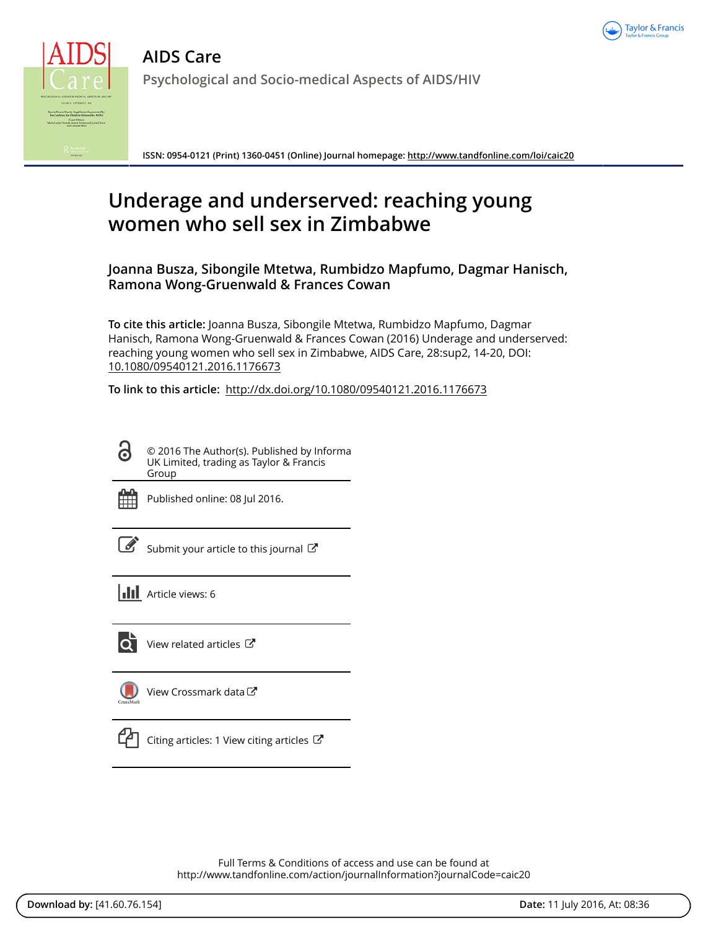



**AIDS Care Psychological and Socio-medical Aspects of AIDS/HIV**

**ISSN: 0954-0121 (Print) 1360-0451 (Online) Journal homepage:<http://www.tandfonline.com/loi/caic20>**

# **Underage and underserved: reaching young women who sell sex in Zimbabwe**

**Joanna Busza, Sibongile Mtetwa, Rumbidzo Mapfumo, Dagmar Hanisch, Ramona Wong-Gruenwald & Frances Cowan**

**To cite this article:** Joanna Busza, Sibongile Mtetwa, Rumbidzo Mapfumo, Dagmar Hanisch, Ramona Wong-Gruenwald & Frances Cowan (2016) Underage and underserved: reaching young women who sell sex in Zimbabwe, AIDS Care, 28:sup2, 14-20, DOI: [10.1080/09540121.2016.1176673](http://www.tandfonline.com/action/showCitFormats?doi=10.1080/09540121.2016.1176673)

**To link to this article:** <http://dx.doi.org/10.1080/09540121.2016.1176673>

© 2016 The Author(s). Published by Informa UK Limited, trading as Taylor & Francis Group



Q

Published online: 08 Jul 2016.

| <b>Service Service</b> |
|------------------------|

[Submit your article to this journal](http://www.tandfonline.com/action/authorSubmission?journalCode=caic20&page=instructions)  $\mathbb{Z}$ 

**III** Article views: 6



[View related articles](http://www.tandfonline.com/doi/mlt/10.1080/09540121.2016.1176673)  $\mathbb{Z}$ 



[View Crossmark data](http://crossmark.crossref.org/dialog/?doi=10.1080/09540121.2016.1176673&domain=pdf&date_stamp=2016-07-08)<sup>C</sup>



[Citing articles: 1 View citing articles](http://www.tandfonline.com/doi/citedby/10.1080/09540121.2016.1176673#tabModule) C

Full Terms & Conditions of access and use can be found at <http://www.tandfonline.com/action/journalInformation?journalCode=caic20>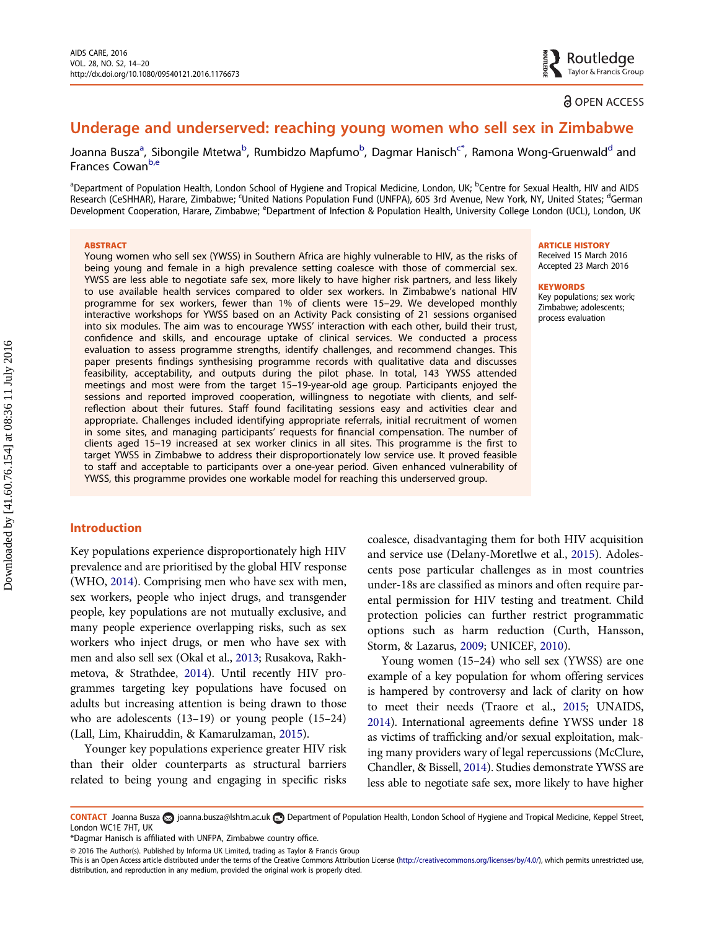# <span id="page-1-0"></span>Underage and underserved: reaching young women who sell sex in Zimbabwe

Joanna Busza<sup>a</sup>, Sibongile Mtetwa<sup>b</sup>, Rumbidzo Mapfumo<sup>b</sup>, Dagmar Hanisch<sup>c\*</sup>, Ramona Wong-Gruenwald<sup>d</sup> and Frances Cowanb,e

<sup>a</sup>Department of Population Health, London School of Hygiene and Tropical Medicine, London, UK; <sup>b</sup>Centre for Sexual Health, HIV and AIDS Research (CeSHHAR), Harare, Zimbabwe; <sup>c</sup>United Nations Population Fund (UNFPA), 605 3rd Avenue, New York, NY, United States; <sup>d</sup>German Development Cooperation, Harare, Zimbabwe; <sup>e</sup>Department of Infection & Population Health, University College London (UCL), London, UK

#### ABSTRACT

Young women who sell sex (YWSS) in Southern Africa are highly vulnerable to HIV, as the risks of being young and female in a high prevalence setting coalesce with those of commercial sex. YWSS are less able to negotiate safe sex, more likely to have higher risk partners, and less likely to use available health services compared to older sex workers. In Zimbabwe's national HIV programme for sex workers, fewer than 1% of clients were 15–29. We developed monthly interactive workshops for YWSS based on an Activity Pack consisting of 21 sessions organised into six modules. The aim was to encourage YWSS' interaction with each other, build their trust, confidence and skills, and encourage uptake of clinical services. We conducted a process evaluation to assess programme strengths, identify challenges, and recommend changes. This paper presents findings synthesising programme records with qualitative data and discusses feasibility, acceptability, and outputs during the pilot phase. In total, 143 YWSS attended meetings and most were from the target 15–19-year-old age group. Participants enjoyed the sessions and reported improved cooperation, willingness to negotiate with clients, and selfreflection about their futures. Staff found facilitating sessions easy and activities clear and appropriate. Challenges included identifying appropriate referrals, initial recruitment of women in some sites, and managing participants' requests for financial compensation. The number of clients aged 15–19 increased at sex worker clinics in all sites. This programme is the first to target YWSS in Zimbabwe to address their disproportionately low service use. It proved feasible to staff and acceptable to participants over a one-year period. Given enhanced vulnerability of YWSS, this programme provides one workable model for reaching this underserved group.

## Introduction

Key populations experience disproportionately high HIV prevalence and are prioritised by the global HIV response (WHO, [2014](#page-7-0)). Comprising men who have sex with men, sex workers, people who inject drugs, and transgender people, key populations are not mutually exclusive, and many people experience overlapping risks, such as sex workers who inject drugs, or men who have sex with men and also sell sex (Okal et al., [2013;](#page-7-0) Rusakova, Rakhmetova, & Strathdee, [2014](#page-7-0)). Until recently HIV programmes targeting key populations have focused on adults but increasing attention is being drawn to those who are adolescents (13–19) or young people (15–24) (Lall, Lim, Khairuddin, & Kamarulzaman, [2015](#page-7-0)).

Younger key populations experience greater HIV risk than their older counterparts as structural barriers related to being young and engaging in specific risks

ARTICLE HISTORY Received 15 March 2016 Accepted 23 March 2016

#### **KEYWORDS**

Key populations; sex work; Zimbabwe; adolescents; process evaluation

coalesce, disadvantaging them for both HIV acquisition and service use (Delany-Moretlwe et al., [2015\)](#page-7-0). Adolescents pose particular challenges as in most countries under-18s are classified as minors and often require parental permission for HIV testing and treatment. Child protection policies can further restrict programmatic options such as harm reduction (Curth, Hansson, Storm, & Lazarus, [2009](#page-6-0); UNICEF, [2010](#page-7-0)).

Young women (15–24) who sell sex (YWSS) are one example of a key population for whom offering services is hampered by controversy and lack of clarity on how to meet their needs (Traore et al., [2015](#page-7-0); UNAIDS, [2014](#page-7-0)). International agreements define YWSS under 18 as victims of trafficking and/or sexual exploitation, making many providers wary of legal repercussions (McClure, Chandler, & Bissell, [2014\)](#page-7-0). Studies demonstrate YWSS are less able to negotiate safe sex, more likely to have higher

ခါ OPEN ACCESS

CONTACT Joanna Busza a [joanna.busza@lshtm.ac.uk](mailto:joanna.busza@lshtm.ac.uk) **D**epartment of Population Health, London School of Hygiene and Tropical Medicine, Keppel Street, London WC1E 7HT, UK

<sup>\*</sup>Dagmar Hanisch is affiliated with UNFPA, Zimbabwe country office.

<sup>© 2016</sup> The Author(s). Published by Informa UK Limited, trading as Taylor & Francis Group

This is an Open Access article distributed under the terms of the Creative Commons Attribution License (<http://creativecommons.org/licenses/by/4.0/>), which permits unrestricted use, distribution, and reproduction in any medium, provided the original work is properly cited.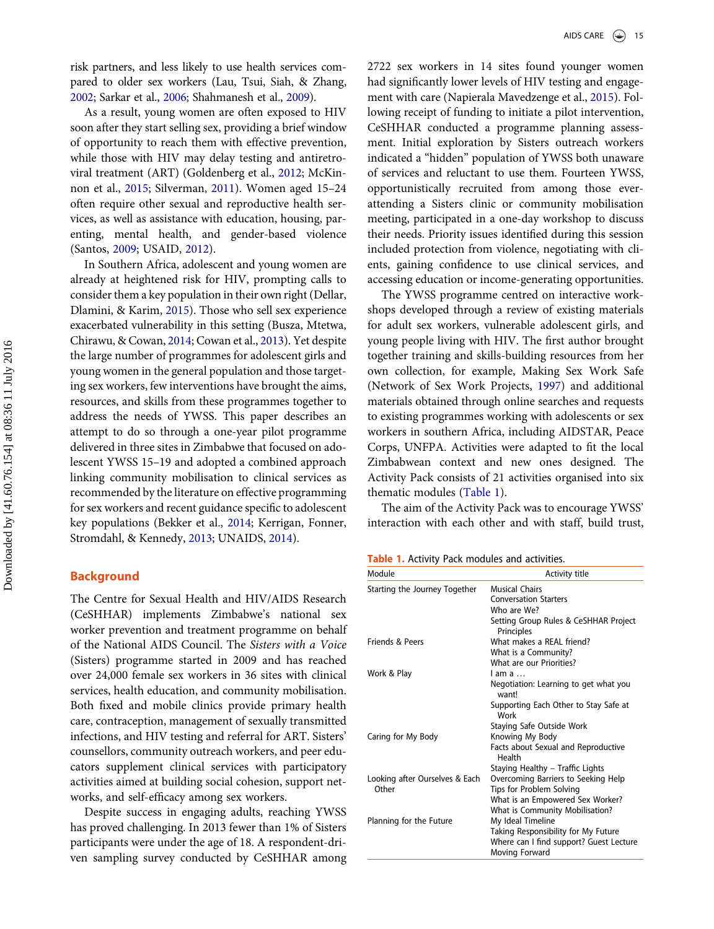<span id="page-2-0"></span>risk partners, and less likely to use health services compared to older sex workers (Lau, Tsui, Siah, & Zhang, [2002;](#page-7-0) Sarkar et al., [2006](#page-7-0); Shahmanesh et al., [2009](#page-7-0)).

As a result, young women are often exposed to HIV soon after they start selling sex, providing a brief window of opportunity to reach them with effective prevention, while those with HIV may delay testing and antiretroviral treatment (ART) (Goldenberg et al., [2012;](#page-7-0) McKinnon et al., [2015;](#page-7-0) Silverman, [2011\)](#page-7-0). Women aged 15–24 often require other sexual and reproductive health services, as well as assistance with education, housing, parenting, mental health, and gender-based violence (Santos, [2009;](#page-7-0) USAID, [2012](#page-7-0)).

In Southern Africa, adolescent and young women are already at heightened risk for HIV, prompting calls to consider them a key population in their own right (Dellar, Dlamini, & Karim, [2015\)](#page-7-0). Those who sell sex experience exacerbated vulnerability in this setting (Busza, Mtetwa, Chirawu, & Cowan, [2014;](#page-6-0) Cowan et al., [2013](#page-6-0)). Yet despite the large number of programmes for adolescent girls and young women in the general population and those targeting sex workers, few interventions have brought the aims, resources, and skills from these programmes together to address the needs of YWSS. This paper describes an attempt to do so through a one-year pilot programme delivered in three sites in Zimbabwe that focused on adolescent YWSS 15–19 and adopted a combined approach linking community mobilisation to clinical services as recommended by the literature on effective programming for sex workers and recent guidance specific to adolescent key populations (Bekker et al., [2014](#page-6-0); Kerrigan, Fonner, Stromdahl, & Kennedy, [2013](#page-7-0); UNAIDS, [2014\)](#page-7-0).

#### **Background**

The Centre for Sexual Health and HIV/AIDS Research (CeSHHAR) implements Zimbabwe's national sex worker prevention and treatment programme on behalf of the National AIDS Council. The Sisters with a Voice (Sisters) programme started in 2009 and has reached over 24,000 female sex workers in 36 sites with clinical services, health education, and community mobilisation. Both fixed and mobile clinics provide primary health care, contraception, management of sexually transmitted infections, and HIV testing and referral for ART. Sisters' counsellors, community outreach workers, and peer educators supplement clinical services with participatory activities aimed at building social cohesion, support networks, and self-efficacy among sex workers.

Despite success in engaging adults, reaching YWSS has proved challenging. In 2013 fewer than 1% of Sisters participants were under the age of 18. A respondent-driven sampling survey conducted by CeSHHAR among

2722 sex workers in 14 sites found younger women had significantly lower levels of HIV testing and engagement with care (Napierala Mavedzenge et al., [2015](#page-7-0)). Following receipt of funding to initiate a pilot intervention, CeSHHAR conducted a programme planning assessment. Initial exploration by Sisters outreach workers indicated a "hidden" population of YWSS both unaware of services and reluctant to use them. Fourteen YWSS, opportunistically recruited from among those everattending a Sisters clinic or community mobilisation meeting, participated in a one-day workshop to discuss their needs. Priority issues identified during this session included protection from violence, negotiating with clients, gaining confidence to use clinical services, and accessing education or income-generating opportunities.

The YWSS programme centred on interactive workshops developed through a review of existing materials for adult sex workers, vulnerable adolescent girls, and young people living with HIV. The first author brought together training and skills-building resources from her own collection, for example, Making Sex Work Safe (Network of Sex Work Projects, [1997\)](#page-7-0) and additional materials obtained through online searches and requests to existing programmes working with adolescents or sex workers in southern Africa, including AIDSTAR, Peace Corps, UNFPA. Activities were adapted to fit the local Zimbabwean context and new ones designed. The Activity Pack consists of 21 activities organised into six thematic modules (Table 1).

The aim of the Activity Pack was to encourage YWSS' interaction with each other and with staff, build trust,

| Table 1. Activity Pack modules and activities. |  |  |  |  |
|------------------------------------------------|--|--|--|--|
|------------------------------------------------|--|--|--|--|

| Module                         | Activity title                                      |
|--------------------------------|-----------------------------------------------------|
| Starting the Journey Together  | Musical Chairs                                      |
|                                | <b>Conversation Starters</b>                        |
|                                | Who are We?                                         |
|                                | Setting Group Rules & CeSHHAR Project<br>Principles |
| <b>Friends &amp; Peers</b>     | What makes a RFAI friend?                           |
|                                | What is a Community?                                |
|                                | What are our Priorities?                            |
| Work & Play                    | lama                                                |
|                                | Negotiation: Learning to get what you<br>want!      |
|                                | Supporting Each Other to Stay Safe at<br>Work       |
|                                | Staying Safe Outside Work                           |
| Caring for My Body             | Knowing My Body                                     |
|                                | Facts about Sexual and Reproductive<br>Health       |
|                                | Staying Healthy - Traffic Lights                    |
| Looking after Ourselves & Each | Overcoming Barriers to Seeking Help                 |
| Other                          | Tips for Problem Solving                            |
|                                | What is an Empowered Sex Worker?                    |
|                                | What is Community Mobilisation?                     |
| Planning for the Future        | My Ideal Timeline                                   |
|                                | Taking Responsibility for My Future                 |
|                                | Where can I find support? Guest Lecture             |
|                                | Moving Forward                                      |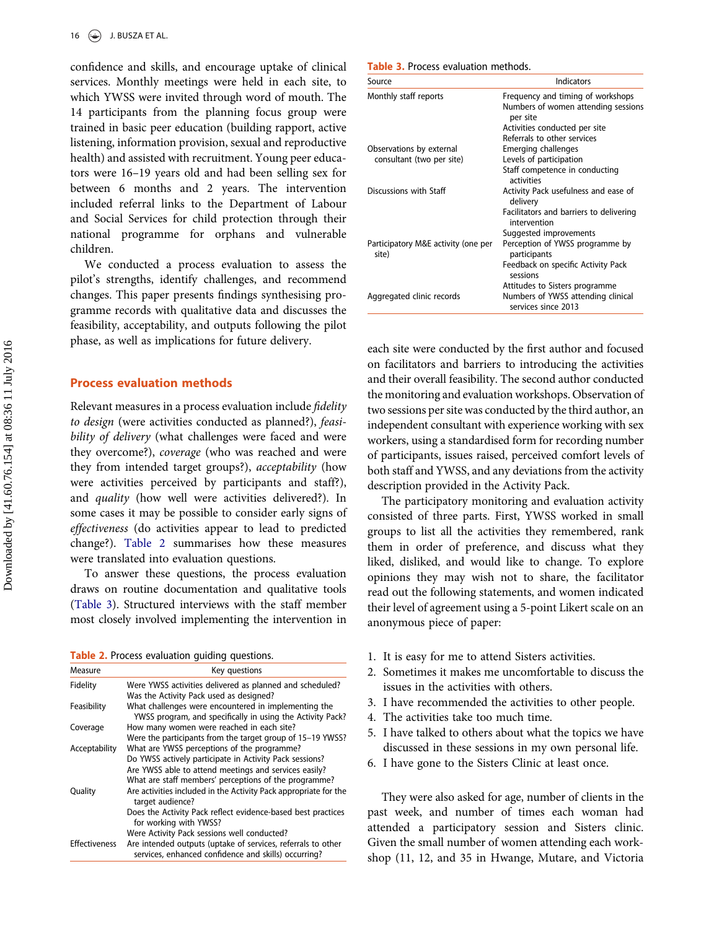confidence and skills, and encourage uptake of clinical services. Monthly meetings were held in each site, to which YWSS were invited through word of mouth. The 14 participants from the planning focus group were trained in basic peer education (building rapport, active listening, information provision, sexual and reproductive health) and assisted with recruitment. Young peer educators were 16–19 years old and had been selling sex for between 6 months and 2 years. The intervention included referral links to the Department of Labour and Social Services for child protection through their national programme for orphans and vulnerable children.

We conducted a process evaluation to assess the pilot's strengths, identify challenges, and recommend changes. This paper presents findings synthesising programme records with qualitative data and discusses the feasibility, acceptability, and outputs following the pilot phase, as well as implications for future delivery.

#### Process evaluation methods

Relevant measures in a process evaluation include fidelity to design (were activities conducted as planned?), feasibility of delivery (what challenges were faced and were they overcome?), coverage (who was reached and were they from intended target groups?), acceptability (how were activities perceived by participants and staff?), and quality (how well were activities delivered?). In some cases it may be possible to consider early signs of effectiveness (do activities appear to lead to predicted change?). Table 2 summarises how these measures were translated into evaluation questions.

To answer these questions, the process evaluation draws on routine documentation and qualitative tools (Table 3). Structured interviews with the staff member most closely involved implementing the intervention in

Table 2. Process evaluation guiding questions.

| Measure              | Key questions                                                                                                        |
|----------------------|----------------------------------------------------------------------------------------------------------------------|
| Fidelity             | Were YWSS activities delivered as planned and scheduled?<br>Was the Activity Pack used as designed?                  |
| Feasibility          | What challenges were encountered in implementing the<br>YWSS program, and specifically in using the Activity Pack?   |
| Coverage             | How many women were reached in each site?                                                                            |
|                      | Were the participants from the target group of 15-19 YWSS?                                                           |
| Acceptability        | What are YWSS perceptions of the programme?                                                                          |
|                      | Do YWSS actively participate in Activity Pack sessions?                                                              |
|                      | Are YWSS able to attend meetings and services easily?                                                                |
|                      | What are staff members' perceptions of the programme?                                                                |
| Quality              | Are activities included in the Activity Pack appropriate for the<br>target audience?                                 |
|                      | Does the Activity Pack reflect evidence-based best practices<br>for working with YWSS?                               |
|                      | Were Activity Pack sessions well conducted?                                                                          |
| <b>Effectiveness</b> | Are intended outputs (uptake of services, referrals to other<br>services, enhanced confidence and skills) occurring? |

#### Table 3. Process evaluation methods.

| Source                                       | <b>Indicators</b>                                                                    |
|----------------------------------------------|--------------------------------------------------------------------------------------|
| Monthly staff reports                        | Frequency and timing of workshops<br>Numbers of women attending sessions<br>per site |
|                                              | Activities conducted per site                                                        |
|                                              | Referrals to other services                                                          |
| Observations by external                     | Emerging challenges                                                                  |
| consultant (two per site)                    | Levels of participation                                                              |
|                                              | Staff competence in conducting<br>activities                                         |
| Discussions with Staff                       | Activity Pack usefulness and ease of<br>delivery                                     |
|                                              | Facilitators and barriers to delivering<br>intervention                              |
|                                              | Suggested improvements                                                               |
| Participatory M&E activity (one per<br>site) | Perception of YWSS programme by<br>participants                                      |
|                                              | Feedback on specific Activity Pack<br>sessions                                       |
|                                              | Attitudes to Sisters programme                                                       |
| Aggregated clinic records                    | Numbers of YWSS attending clinical<br>services since 2013                            |

each site were conducted by the first author and focused on facilitators and barriers to introducing the activities and their overall feasibility. The second author conducted the monitoring and evaluation workshops. Observation of two sessions per site was conducted by the third author, an independent consultant with experience working with sex workers, using a standardised form for recording number of participants, issues raised, perceived comfort levels of both staff and YWSS, and any deviations from the activity description provided in the Activity Pack.

The participatory monitoring and evaluation activity consisted of three parts. First, YWSS worked in small groups to list all the activities they remembered, rank them in order of preference, and discuss what they liked, disliked, and would like to change. To explore opinions they may wish not to share, the facilitator read out the following statements, and women indicated their level of agreement using a 5-point Likert scale on an anonymous piece of paper:

- 1. It is easy for me to attend Sisters activities.
- 2. Sometimes it makes me uncomfortable to discuss the issues in the activities with others.
- 3. I have recommended the activities to other people.
- 4. The activities take too much time.
- 5. I have talked to others about what the topics we have discussed in these sessions in my own personal life.
- 6. I have gone to the Sisters Clinic at least once.

They were also asked for age, number of clients in the past week, and number of times each woman had attended a participatory session and Sisters clinic. Given the small number of women attending each workshop (11, 12, and 35 in Hwange, Mutare, and Victoria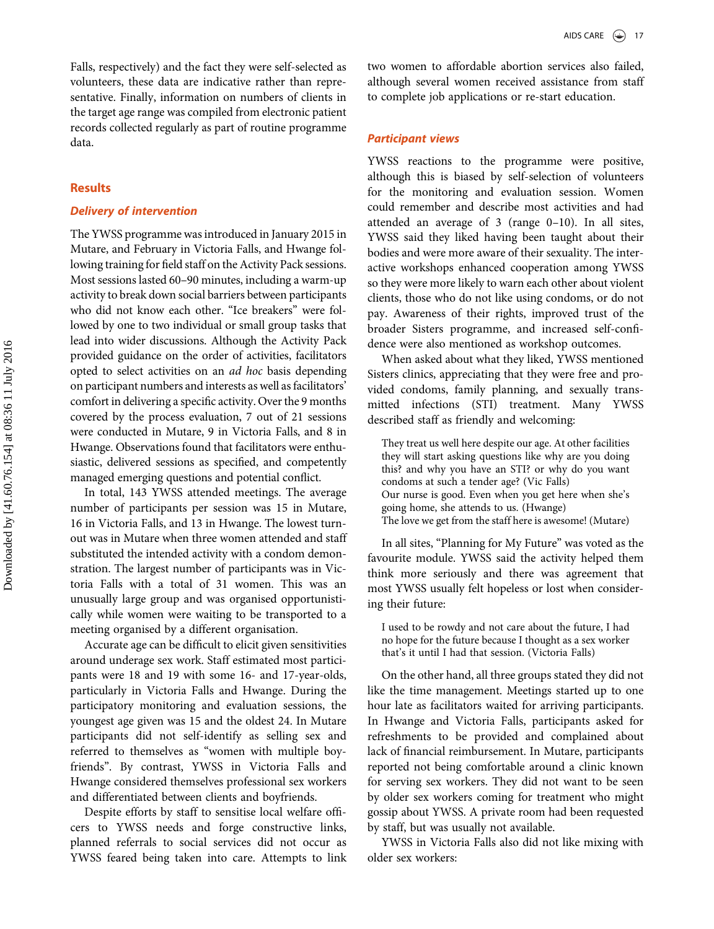Falls, respectively) and the fact they were self-selected as volunteers, these data are indicative rather than representative. Finally, information on numbers of clients in the target age range was compiled from electronic patient records collected regularly as part of routine programme data.

#### **Results**

## Delivery of intervention

The YWSS programme was introduced in January 2015 in Mutare, and February in Victoria Falls, and Hwange following training for field staff on the Activity Pack sessions. Most sessions lasted 60–90 minutes, including a warm-up activity to break down social barriers between participants who did not know each other. "Ice breakers" were followed by one to two individual or small group tasks that lead into wider discussions. Although the Activity Pack provided guidance on the order of activities, facilitators opted to select activities on an ad hoc basis depending on participant numbers and interests as well as facilitators' comfort in delivering a specific activity. Over the 9 months covered by the process evaluation, 7 out of 21 sessions were conducted in Mutare, 9 in Victoria Falls, and 8 in Hwange. Observations found that facilitators were enthusiastic, delivered sessions as specified, and competently managed emerging questions and potential conflict.

In total, 143 YWSS attended meetings. The average number of participants per session was 15 in Mutare, 16 in Victoria Falls, and 13 in Hwange. The lowest turnout was in Mutare when three women attended and staff substituted the intended activity with a condom demonstration. The largest number of participants was in Victoria Falls with a total of 31 women. This was an unusually large group and was organised opportunistically while women were waiting to be transported to a meeting organised by a different organisation.

Accurate age can be difficult to elicit given sensitivities around underage sex work. Staff estimated most participants were 18 and 19 with some 16- and 17-year-olds, particularly in Victoria Falls and Hwange. During the participatory monitoring and evaluation sessions, the youngest age given was 15 and the oldest 24. In Mutare participants did not self-identify as selling sex and referred to themselves as "women with multiple boyfriends". By contrast, YWSS in Victoria Falls and Hwange considered themselves professional sex workers and differentiated between clients and boyfriends.

Despite efforts by staff to sensitise local welfare officers to YWSS needs and forge constructive links, planned referrals to social services did not occur as YWSS feared being taken into care. Attempts to link two women to affordable abortion services also failed, although several women received assistance from staff to complete job applications or re-start education.

#### Participant views

YWSS reactions to the programme were positive, although this is biased by self-selection of volunteers for the monitoring and evaluation session. Women could remember and describe most activities and had attended an average of 3 (range 0–10). In all sites, YWSS said they liked having been taught about their bodies and were more aware of their sexuality. The interactive workshops enhanced cooperation among YWSS so they were more likely to warn each other about violent clients, those who do not like using condoms, or do not pay. Awareness of their rights, improved trust of the broader Sisters programme, and increased self-confidence were also mentioned as workshop outcomes.

When asked about what they liked, YWSS mentioned Sisters clinics, appreciating that they were free and provided condoms, family planning, and sexually transmitted infections (STI) treatment. Many YWSS described staff as friendly and welcoming:

They treat us well here despite our age. At other facilities they will start asking questions like why are you doing this? and why you have an STI? or why do you want condoms at such a tender age? (Vic Falls) Our nurse is good. Even when you get here when she's going home, she attends to us. (Hwange) The love we get from the staff here is awesome! (Mutare)

In all sites, "Planning for My Future" was voted as the favourite module. YWSS said the activity helped them think more seriously and there was agreement that most YWSS usually felt hopeless or lost when considering their future:

I used to be rowdy and not care about the future, I had no hope for the future because I thought as a sex worker that's it until I had that session. (Victoria Falls)

On the other hand, all three groups stated they did not like the time management. Meetings started up to one hour late as facilitators waited for arriving participants. In Hwange and Victoria Falls, participants asked for refreshments to be provided and complained about lack of financial reimbursement. In Mutare, participants reported not being comfortable around a clinic known for serving sex workers. They did not want to be seen by older sex workers coming for treatment who might gossip about YWSS. A private room had been requested by staff, but was usually not available.

YWSS in Victoria Falls also did not like mixing with older sex workers: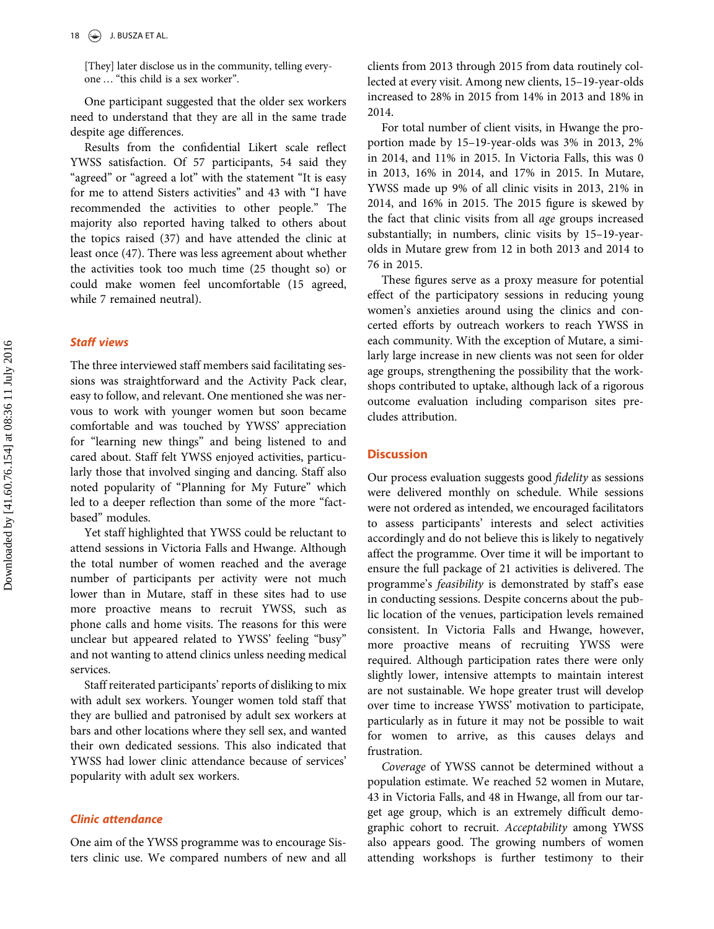[They] later disclose us in the community, telling everyone … "this child is a sex worker".

One participant suggested that the older sex workers need to understand that they are all in the same trade despite age differences.

Results from the confidential Likert scale reflect YWSS satisfaction. Of 57 participants, 54 said they "agreed" or "agreed a lot" with the statement "It is easy for me to attend Sisters activities" and 43 with "I have recommended the activities to other people." The majority also reported having talked to others about the topics raised (37) and have attended the clinic at least once (47). There was less agreement about whether the activities took too much time (25 thought so) or could make women feel uncomfortable (15 agreed, while 7 remained neutral).

#### Staff views

The three interviewed staff members said facilitating sessions was straightforward and the Activity Pack clear, easy to follow, and relevant. One mentioned she was nervous to work with younger women but soon became comfortable and was touched by YWSS' appreciation for "learning new things" and being listened to and cared about. Staff felt YWSS enjoyed activities, particularly those that involved singing and dancing. Staff also noted popularity of "Planning for My Future" which led to a deeper reflection than some of the more "factbased" modules.

Yet staff highlighted that YWSS could be reluctant to attend sessions in Victoria Falls and Hwange. Although the total number of women reached and the average number of participants per activity were not much lower than in Mutare, staff in these sites had to use more proactive means to recruit YWSS, such as phone calls and home visits. The reasons for this were unclear but appeared related to YWSS' feeling "busy" and not wanting to attend clinics unless needing medical services.

Staff reiterated participants' reports of disliking to mix with adult sex workers. Younger women told staff that they are bullied and patronised by adult sex workers at bars and other locations where they sell sex, and wanted their own dedicated sessions. This also indicated that YWSS had lower clinic attendance because of services' popularity with adult sex workers.

#### Clinic attendance

One aim of the YWSS programme was to encourage Sisters clinic use. We compared numbers of new and all clients from 2013 through 2015 from data routinely collected at every visit. Among new clients, 15–19-year-olds increased to 28% in 2015 from 14% in 2013 and 18% in 2014.

For total number of client visits, in Hwange the proportion made by 15–19-year-olds was 3% in 2013, 2% in 2014, and 11% in 2015. In Victoria Falls, this was 0 in 2013, 16% in 2014, and 17% in 2015. In Mutare, YWSS made up 9% of all clinic visits in 2013, 21% in 2014, and 16% in 2015. The 2015 figure is skewed by the fact that clinic visits from all age groups increased substantially; in numbers, clinic visits by 15–19-yearolds in Mutare grew from 12 in both 2013 and 2014 to 76 in 2015.

These figures serve as a proxy measure for potential effect of the participatory sessions in reducing young women's anxieties around using the clinics and concerted efforts by outreach workers to reach YWSS in each community. With the exception of Mutare, a similarly large increase in new clients was not seen for older age groups, strengthening the possibility that the workshops contributed to uptake, although lack of a rigorous outcome evaluation including comparison sites precludes attribution.

#### **Discussion**

Our process evaluation suggests good fidelity as sessions were delivered monthly on schedule. While sessions were not ordered as intended, we encouraged facilitators to assess participants' interests and select activities accordingly and do not believe this is likely to negatively affect the programme. Over time it will be important to ensure the full package of 21 activities is delivered. The programme's feasibility is demonstrated by staff's ease in conducting sessions. Despite concerns about the public location of the venues, participation levels remained consistent. In Victoria Falls and Hwange, however, more proactive means of recruiting YWSS were required. Although participation rates there were only slightly lower, intensive attempts to maintain interest are not sustainable. We hope greater trust will develop over time to increase YWSS' motivation to participate, particularly as in future it may not be possible to wait for women to arrive, as this causes delays and frustration.

Coverage of YWSS cannot be determined without a population estimate. We reached 52 women in Mutare, 43 in Victoria Falls, and 48 in Hwange, all from our target age group, which is an extremely difficult demographic cohort to recruit. Acceptability among YWSS also appears good. The growing numbers of women attending workshops is further testimony to their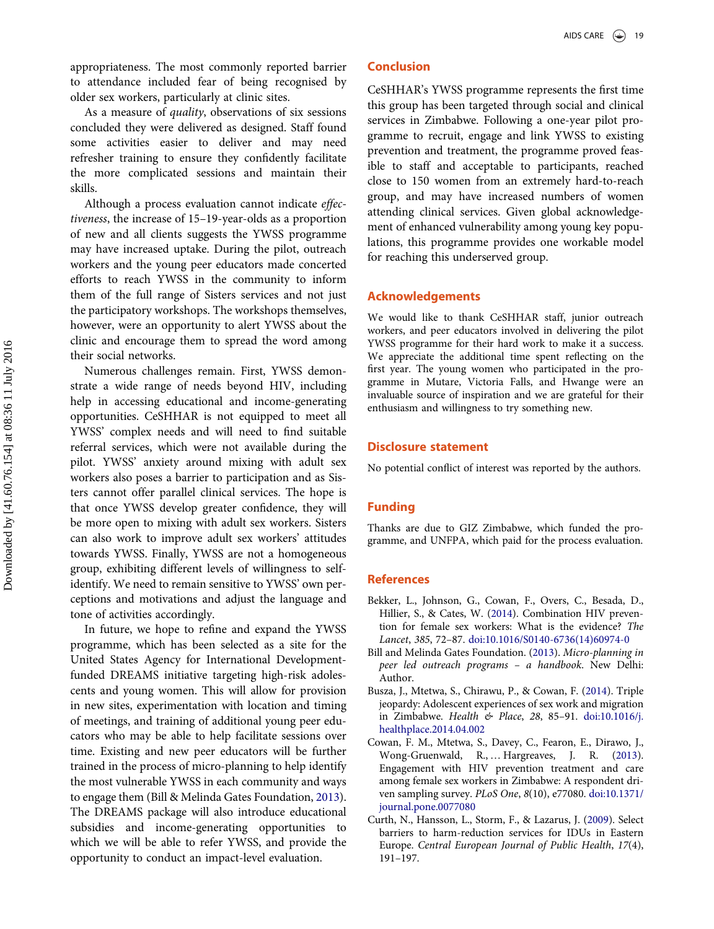<span id="page-6-0"></span>appropriateness. The most commonly reported barrier to attendance included fear of being recognised by older sex workers, particularly at clinic sites.

As a measure of quality, observations of six sessions concluded they were delivered as designed. Staff found some activities easier to deliver and may need refresher training to ensure they confidently facilitate the more complicated sessions and maintain their skills.

Although a process evaluation cannot indicate effectiveness, the increase of 15–19-year-olds as a proportion of new and all clients suggests the YWSS programme may have increased uptake. During the pilot, outreach workers and the young peer educators made concerted efforts to reach YWSS in the community to inform them of the full range of Sisters services and not just the participatory workshops. The workshops themselves, however, were an opportunity to alert YWSS about the clinic and encourage them to spread the word among their social networks.

Numerous challenges remain. First, YWSS demonstrate a wide range of needs beyond HIV, including help in accessing educational and income-generating opportunities. CeSHHAR is not equipped to meet all YWSS' complex needs and will need to find suitable referral services, which were not available during the pilot. YWSS' anxiety around mixing with adult sex workers also poses a barrier to participation and as Sisters cannot offer parallel clinical services. The hope is that once YWSS develop greater confidence, they will be more open to mixing with adult sex workers. Sisters can also work to improve adult sex workers' attitudes towards YWSS. Finally, YWSS are not a homogeneous group, exhibiting different levels of willingness to selfidentify. We need to remain sensitive to YWSS' own perceptions and motivations and adjust the language and tone of activities accordingly.

In future, we hope to refine and expand the YWSS programme, which has been selected as a site for the United States Agency for International Developmentfunded DREAMS initiative targeting high-risk adolescents and young women. This will allow for provision in new sites, experimentation with location and timing of meetings, and training of additional young peer educators who may be able to help facilitate sessions over time. Existing and new peer educators will be further trained in the process of micro-planning to help identify the most vulnerable YWSS in each community and ways to engage them (Bill & Melinda Gates Foundation, 2013). The DREAMS package will also introduce educational subsidies and income-generating opportunities to which we will be able to refer YWSS, and provide the opportunity to conduct an impact-level evaluation.

# **Conclusion**

CeSHHAR's YWSS programme represents the first time this group has been targeted through social and clinical services in Zimbabwe. Following a one-year pilot programme to recruit, engage and link YWSS to existing prevention and treatment, the programme proved feasible to staff and acceptable to participants, reached close to 150 women from an extremely hard-to-reach group, and may have increased numbers of women attending clinical services. Given global acknowledgement of enhanced vulnerability among young key populations, this programme provides one workable model for reaching this underserved group.

#### Acknowledgements

We would like to thank CeSHHAR staff, junior outreach workers, and peer educators involved in delivering the pilot YWSS programme for their hard work to make it a success. We appreciate the additional time spent reflecting on the first year. The young women who participated in the programme in Mutare, Victoria Falls, and Hwange were an invaluable source of inspiration and we are grateful for their enthusiasm and willingness to try something new.

#### Disclosure statement

No potential conflict of interest was reported by the authors.

#### Funding

Thanks are due to GIZ Zimbabwe, which funded the programme, and UNFPA, which paid for the process evaluation.

#### **References**

- Bekker, L., Johnson, G., Cowan, F., Overs, C., Besada, D., Hillier, S., & Cates, W. [\(2014](#page-2-0)). Combination HIV prevention for female sex workers: What is the evidence? The Lancet, 385, 72–87. [doi:10.1016/S0140-6736\(14\)60974-0](http://dx.doi.org/10.1016/S0140-6736(14)60974-0)
- Bill and Melinda Gates Foundation. (2013). Micro-planning in peer led outreach programs – a handbook. New Delhi: Author.
- Busza, J., Mtetwa, S., Chirawu, P., & Cowan, F. ([2014](#page-2-0)). Triple jeopardy: Adolescent experiences of sex work and migration in Zimbabwe. Health & Place, 28, 85–91. [doi:10.1016/j.](http://dx.doi.org/10.1016/j.healthplace.2014.04.002) [healthplace.2014.04.002](http://dx.doi.org/10.1016/j.healthplace.2014.04.002)
- Cowan, F. M., Mtetwa, S., Davey, C., Fearon, E., Dirawo, J., Wong-Gruenwald, R., … Hargreaves, J. R. ([2013](#page-2-0)). Engagement with HIV prevention treatment and care among female sex workers in Zimbabwe: A respondent driven sampling survey. PLoS One, 8(10), e77080. [doi:10.1371/](http://dx.doi.org/10.1371/journal.pone.0077080) [journal.pone.0077080](http://dx.doi.org/10.1371/journal.pone.0077080)
- Curth, N., Hansson, L., Storm, F., & Lazarus, J. [\(2009\)](#page-1-0). Select barriers to harm-reduction services for IDUs in Eastern Europe. Central European Journal of Public Health, 17(4), 191–197.